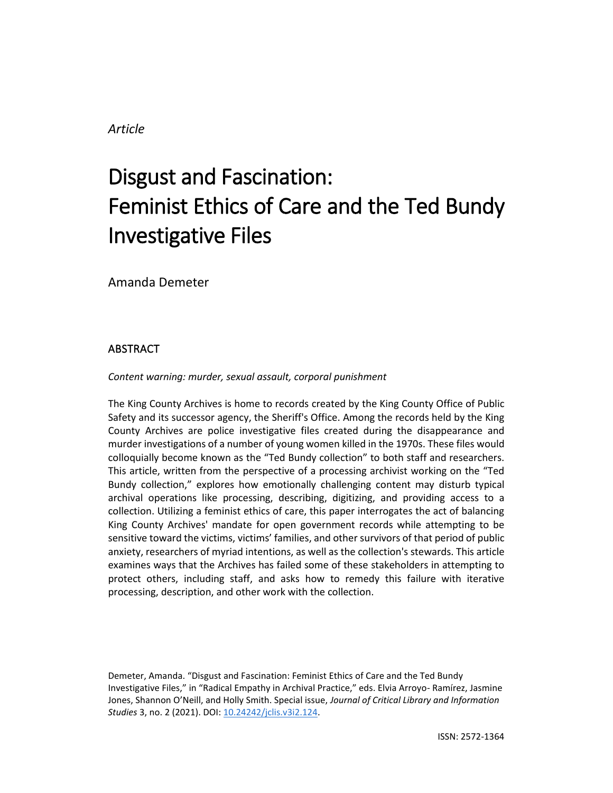# *Article*

# Disgust and Fascination: Feminist Ethics of Care and the Ted Bundy Investigative Files

Amanda Demeter

# ABSTRACT

## *Content warning: murder, sexual assault, corporal punishment*

The King County Archives is home to records created by the King County Office of Public Safety and its successor agency, the Sheriff's Office. Among the records held by the King County Archives are police investigative files created during the disappearance and murder investigations of a number of young women killed in the 1970s. These files would colloquially become known as the "Ted Bundy collection" to both staff and researchers. This article, written from the perspective of a processing archivist working on the "Ted Bundy collection," explores how emotionally challenging content may disturb typical archival operations like processing, describing, digitizing, and providing access to a collection. Utilizing a feminist ethics of care, this paper interrogates the act of balancing King County Archives' mandate for open government records while attempting to be sensitive toward the victims, victims' families, and other survivors of that period of public anxiety, researchers of myriad intentions, as well as the collection's stewards. This article examines ways that the Archives has failed some of these stakeholders in attempting to protect others, including staff, and asks how to remedy this failure with iterative processing, description, and other work with the collection.

Demeter, Amanda. "Disgust and Fascination: Feminist Ethics of Care and the Ted Bundy Investigative Files," in "Radical Empathy in Archival Practice," eds. Elvia Arroyo- Ramírez, Jasmine Jones, Shannon O'Neill, and Holly Smith. Special issue, *Journal of Critical Library and Information Studies* 3, no. 2 (2021). DOI: [10.24242/jclis.v3i2.124.](https://doi.org/10.24242/jclis.v3i2.124)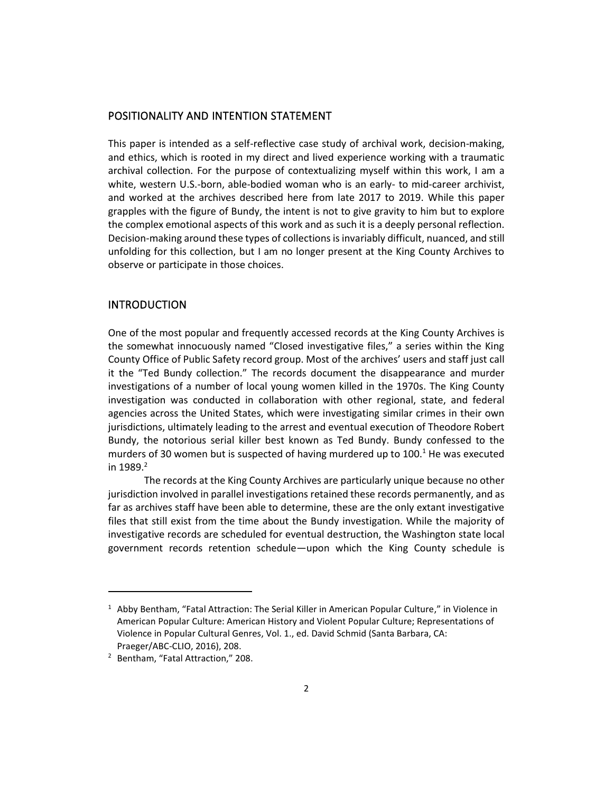## POSITIONALITY AND INTENTION STATEMENT

This paper is intended as a self-reflective case study of archival work, decision-making, and ethics, which is rooted in my direct and lived experience working with a traumatic archival collection. For the purpose of contextualizing myself within this work, I am a white, western U.S.-born, able-bodied woman who is an early- to mid-career archivist, and worked at the archives described here from late 2017 to 2019. While this paper grapples with the figure of Bundy, the intent is not to give gravity to him but to explore the complex emotional aspects of this work and as such it is a deeply personal reflection. Decision-making around these types of collections is invariably difficult, nuanced, and still unfolding for this collection, but I am no longer present at the King County Archives to observe or participate in those choices.

## INTRODUCTION

One of the most popular and frequently accessed records at the King County Archives is the somewhat innocuously named "Closed investigative files," a series within the King County Office of Public Safety record group. Most of the archives' users and staff just call it the "Ted Bundy collection." The records document the disappearance and murder investigations of a number of local young women killed in the 1970s. The King County investigation was conducted in collaboration with other regional, state, and federal agencies across the United States, which were investigating similar crimes in their own jurisdictions, ultimately leading to the arrest and eventual execution of Theodore Robert Bundy, the notorious serial killer best known as Ted Bundy. Bundy confessed to the murders of 30 women but is suspected of having murdered up to  $100<sup>1</sup>$  He was executed in  $1989.<sup>2</sup>$ 

The records at the King County Archives are particularly unique because no other jurisdiction involved in parallel investigations retained these records permanently, and as far as archives staff have been able to determine, these are the only extant investigative files that still exist from the time about the Bundy investigation. While the majority of investigative records are scheduled for eventual destruction, the Washington state local government records retention schedule—upon which the King County schedule is

<sup>&</sup>lt;sup>1</sup> Abby Bentham, "Fatal Attraction: The Serial Killer in American Popular Culture," in Violence in American Popular Culture: American History and Violent Popular Culture; Representations of Violence in Popular Cultural Genres, Vol. 1., ed. David Schmid (Santa Barbara, CA: Praeger/ABC-CLIO, 2016), 208.

<sup>&</sup>lt;sup>2</sup> Bentham, "Fatal Attraction," 208.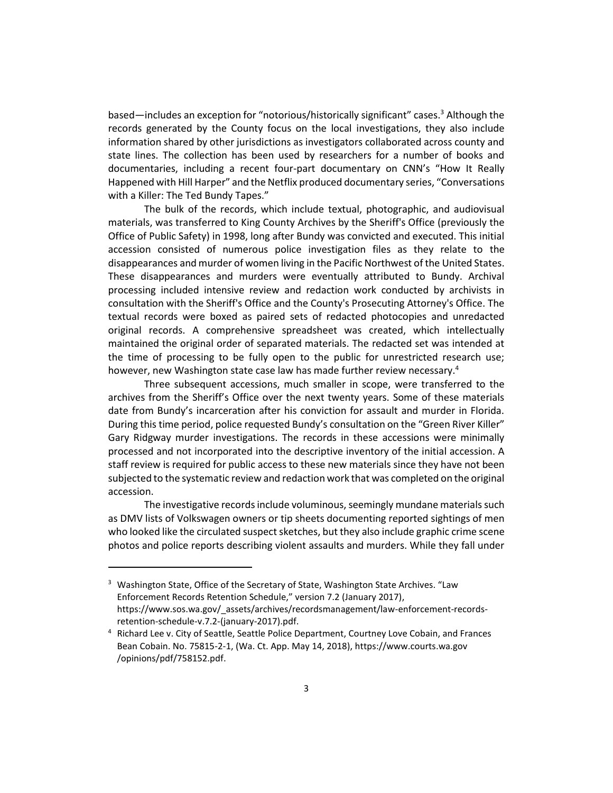based—includes an exception for "notorious/historically significant" cases.<sup>3</sup> Although the records generated by the County focus on the local investigations, they also include information shared by other jurisdictions as investigators collaborated across county and state lines. The collection has been used by researchers for a number of books and documentaries, including a recent four-part documentary on CNN's "How It Really Happened with Hill Harper" and the Netflix produced documentary series, "Conversations with a Killer: The Ted Bundy Tapes."

The bulk of the records, which include textual, photographic, and audiovisual materials, was transferred to King County Archives by the Sheriff's Office (previously the Office of Public Safety) in 1998, long after Bundy was convicted and executed. This initial accession consisted of numerous police investigation files as they relate to the disappearances and murder of women living in the Pacific Northwest of the United States. These disappearances and murders were eventually attributed to Bundy. Archival processing included intensive review and redaction work conducted by archivists in consultation with the Sheriff's Office and the County's Prosecuting Attorney's Office. The textual records were boxed as paired sets of redacted photocopies and unredacted original records. A comprehensive spreadsheet was created, which intellectually maintained the original order of separated materials. The redacted set was intended at the time of processing to be fully open to the public for unrestricted research use; however, new Washington state case law has made further review necessary.<sup>4</sup>

Three subsequent accessions, much smaller in scope, were transferred to the archives from the Sheriff's Office over the next twenty years. Some of these materials date from Bundy's incarceration after his conviction for assault and murder in Florida. During this time period, police requested Bundy's consultation on the "Green River Killer" Gary Ridgway murder investigations. The records in these accessions were minimally processed and not incorporated into the descriptive inventory of the initial accession. A staff review is required for public access to these new materials since they have not been subjected to the systematic review and redaction work that was completed on the original accession.

The investigative records include voluminous, seemingly mundane materials such as DMV lists of Volkswagen owners or tip sheets documenting reported sightings of men who looked like the circulated suspect sketches, but they also include graphic crime scene photos and police reports describing violent assaults and murders. While they fall under

<sup>&</sup>lt;sup>3</sup> Washington State, Office of the Secretary of State, Washington State Archives. "Law Enforcement Records Retention Schedule," version 7.2 (January 2017), https://www.sos.wa.gov/\_assets/archives/recordsmanagement/law-enforcement-recordsretention-schedule-v.7.2-(january-2017).pdf.

<sup>4</sup> Richard Lee v. City of Seattle, Seattle Police Department, Courtney Love Cobain, and Frances Bean Cobain. No. 75815-2-1, (Wa. Ct. App. May 14, 2018), https://www.courts.wa.gov /opinions/pdf/758152.pdf.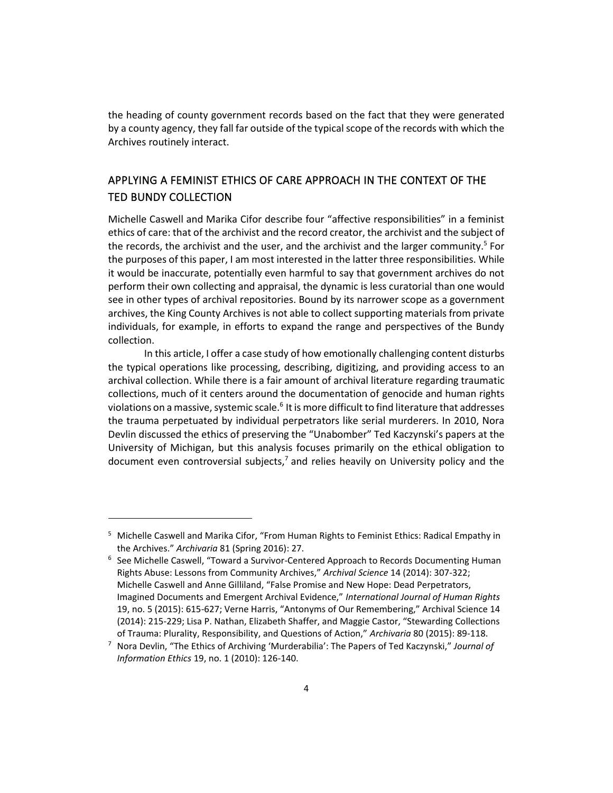the heading of county government records based on the fact that they were generated by a county agency, they fall far outside of the typical scope of the records with which the Archives routinely interact.

# APPLYING A FEMINIST ETHICS OF CARE APPROACH IN THE CONTEXT OF THE TED BUNDY COLLECTION

Michelle Caswell and Marika Cifor describe four "affective responsibilities" in a feminist ethics of care: that of the archivist and the record creator, the archivist and the subject of the records, the archivist and the user, and the archivist and the larger community.<sup>5</sup> For the purposes of this paper, I am most interested in the latter three responsibilities. While it would be inaccurate, potentially even harmful to say that government archives do not perform their own collecting and appraisal, the dynamic is less curatorial than one would see in other types of archival repositories. Bound by its narrower scope as a government archives, the King County Archives is not able to collect supporting materials from private individuals, for example, in efforts to expand the range and perspectives of the Bundy collection.

In this article, I offer a case study of how emotionally challenging content disturbs the typical operations like processing, describing, digitizing, and providing access to an archival collection. While there is a fair amount of archival literature regarding traumatic collections, much of it centers around the documentation of genocide and human rights violations on a massive, systemic scale.<sup>6</sup> It is more difficult to find literature that addresses the trauma perpetuated by individual perpetrators like serial murderers. In 2010, Nora Devlin discussed the ethics of preserving the "Unabomber" Ted Kaczynski's papers at the University of Michigan, but this analysis focuses primarily on the ethical obligation to document even controversial subjects, $<sup>7</sup>$  and relies heavily on University policy and the</sup>

<sup>&</sup>lt;sup>5</sup> Michelle Caswell and Marika Cifor, "From Human Rights to Feminist Ethics: Radical Empathy in the Archives." *Archivaria* 81 (Spring 2016): 27.

<sup>6</sup> See Michelle Caswell, "Toward a Survivor-Centered Approach to Records Documenting Human Rights Abuse: Lessons from Community Archives," *Archival Science* 14 (2014): 307-322; Michelle Caswell and Anne Gilliland, "False Promise and New Hope: Dead Perpetrators, Imagined Documents and Emergent Archival Evidence," *International Journal of Human Rights* 19, no. 5 (2015): 615-627; Verne Harris, "Antonyms of Our Remembering," Archival Science 14 (2014): 215-229; Lisa P. Nathan, Elizabeth Shaffer, and Maggie Castor, "Stewarding Collections of Trauma: Plurality, Responsibility, and Questions of Action," *Archivaria* 80 (2015): 89-118.

<sup>7</sup> Nora Devlin, "The Ethics of Archiving 'Murderabilia': The Papers of Ted Kaczynski," *Journal of Information Ethics* 19, no. 1 (2010): 126-140.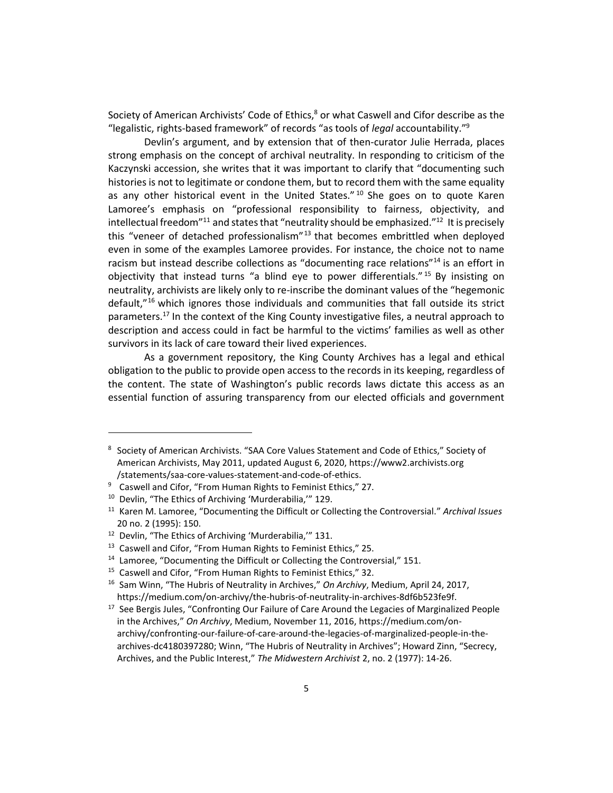Society of American Archivists' Code of Ethics, $8$  or what Caswell and Cifor describe as the "legalistic, rights-based framework" of records "as tools of *legal* accountability."<sup>9</sup>

Devlin's argument, and by extension that of then-curator Julie Herrada, places strong emphasis on the concept of archival neutrality. In responding to criticism of the Kaczynski accession, she writes that it was important to clarify that "documenting such histories is not to legitimate or condone them, but to record them with the same equality as any other historical event in the United States."  $10$  She goes on to quote Karen Lamoree's emphasis on "professional responsibility to fairness, objectivity, and intellectual freedom<sup>"11</sup> and states that "neutrality should be emphasized."<sup>12</sup> It is precisely this "veneer of detached professionalism"<sup>13</sup> that becomes embrittled when deployed even in some of the examples Lamoree provides. For instance, the choice not to name racism but instead describe collections as "documenting race relations"<sup>14</sup> is an effort in objectivity that instead turns "a blind eye to power differentials."<sup>15</sup> By insisting on neutrality, archivists are likely only to re-inscribe the dominant values of the "hegemonic default,"<sup>16</sup> which ignores those individuals and communities that fall outside its strict parameters.<sup>17</sup> In the context of the King County investigative files, a neutral approach to description and access could in fact be harmful to the victims' families as well as other survivors in its lack of care toward their lived experiences.

As a government repository, the King County Archives has a legal and ethical obligation to the public to provide open access to the records in its keeping, regardless of the content. The state of Washington's public records laws dictate this access as an essential function of assuring transparency from our elected officials and government

<sup>&</sup>lt;sup>8</sup> Society of American Archivists. "SAA Core Values Statement and Code of Ethics," Society of American Archivists, May 2011, updated August 6, 2020, https://www2.archivists.org /statements/saa-core-values-statement-and-code-of-ethics.

<sup>9</sup> Caswell and Cifor, "From Human Rights to Feminist Ethics," 27.

<sup>10</sup> Devlin, "The Ethics of Archiving 'Murderabilia,'" 129.

<sup>11</sup> Karen M. Lamoree, "Documenting the Difficult or Collecting the Controversial." *Archival Issues* 20 no. 2 (1995): 150.

<sup>12</sup> Devlin, "The Ethics of Archiving 'Murderabilia,'" 131.

<sup>&</sup>lt;sup>13</sup> Caswell and Cifor, "From Human Rights to Feminist Ethics," 25.

<sup>&</sup>lt;sup>14</sup> Lamoree, "Documenting the Difficult or Collecting the Controversial," 151.

<sup>&</sup>lt;sup>15</sup> Caswell and Cifor, "From Human Rights to Feminist Ethics," 32.

<sup>16</sup> Sam Winn, "The Hubris of Neutrality in Archives," *On Archivy*, Medium, April 24, 2017, https://medium.com/on-archivy/the-hubris-of-neutrality-in-archives-8df6b523fe9f.

<sup>&</sup>lt;sup>17</sup> See Bergis Jules, "Confronting Our Failure of Care Around the Legacies of Marginalized People in the Archives," *On Archivy*, Medium, November 11, 2016, https://medium.com/onarchivy/confronting-our-failure-of-care-around-the-legacies-of-marginalized-people-in-thearchives-dc4180397280; Winn, "The Hubris of Neutrality in Archives"; Howard Zinn, "Secrecy, Archives, and the Public Interest," *The Midwestern Archivist* 2, no. 2 (1977): 14-26.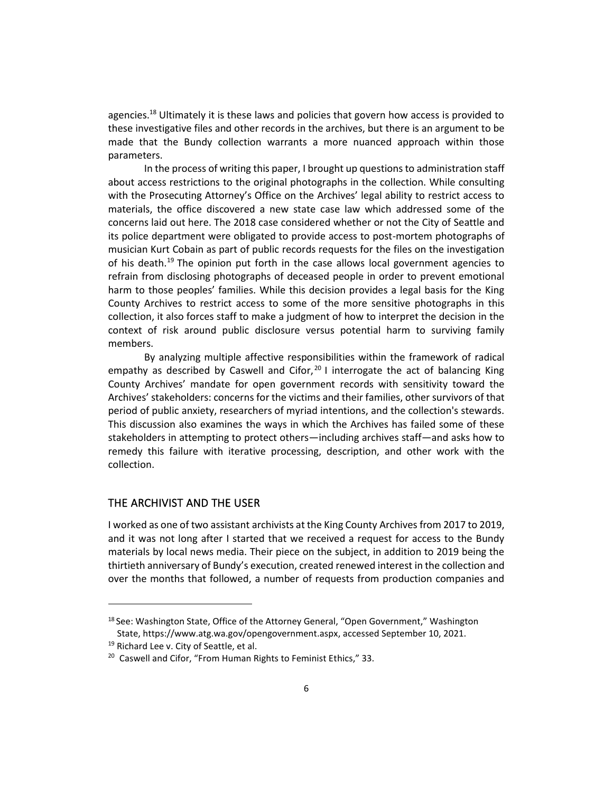agencies.<sup>18</sup> Ultimately it is these laws and policies that govern how access is provided to these investigative files and other records in the archives, but there is an argument to be made that the Bundy collection warrants a more nuanced approach within those parameters.

In the process of writing this paper, I brought up questions to administration staff about access restrictions to the original photographs in the collection. While consulting with the Prosecuting Attorney's Office on the Archives' legal ability to restrict access to materials, the office discovered a new state case law which addressed some of the concerns laid out here. The 2018 case considered whether or not the City of Seattle and its police department were obligated to provide access to post-mortem photographs of musician Kurt Cobain as part of public records requests for the files on the investigation of his death.<sup>19</sup> The opinion put forth in the case allows local government agencies to refrain from disclosing photographs of deceased people in order to prevent emotional harm to those peoples' families. While this decision provides a legal basis for the King County Archives to restrict access to some of the more sensitive photographs in this collection, it also forces staff to make a judgment of how to interpret the decision in the context of risk around public disclosure versus potential harm to surviving family members.

By analyzing multiple affective responsibilities within the framework of radical empathy as described by Caswell and Cifor,  $20$  I interrogate the act of balancing King County Archives' mandate for open government records with sensitivity toward the Archives' stakeholders: concerns for the victims and their families, other survivors of that period of public anxiety, researchers of myriad intentions, and the collection's stewards. This discussion also examines the ways in which the Archives has failed some of these stakeholders in attempting to protect others—including archives staff—and asks how to remedy this failure with iterative processing, description, and other work with the collection.

### THE ARCHIVIST AND THE USER

I worked as one of two assistant archivists at the King County Archives from 2017 to 2019, and it was not long after I started that we received a request for access to the Bundy materials by local news media. Their piece on the subject, in addition to 2019 being the thirtieth anniversary of Bundy's execution, created renewed interest in the collection and over the months that followed, a number of requests from production companies and

<sup>&</sup>lt;sup>18</sup> See: Washington State, Office of the Attorney General, "Open Government," Washington State, https://www.atg.wa.gov/opengovernment.aspx, accessed September 10, 2021.

<sup>&</sup>lt;sup>19</sup> Richard Lee v. City of Seattle, et al.

<sup>&</sup>lt;sup>20</sup> Caswell and Cifor, "From Human Rights to Feminist Ethics," 33.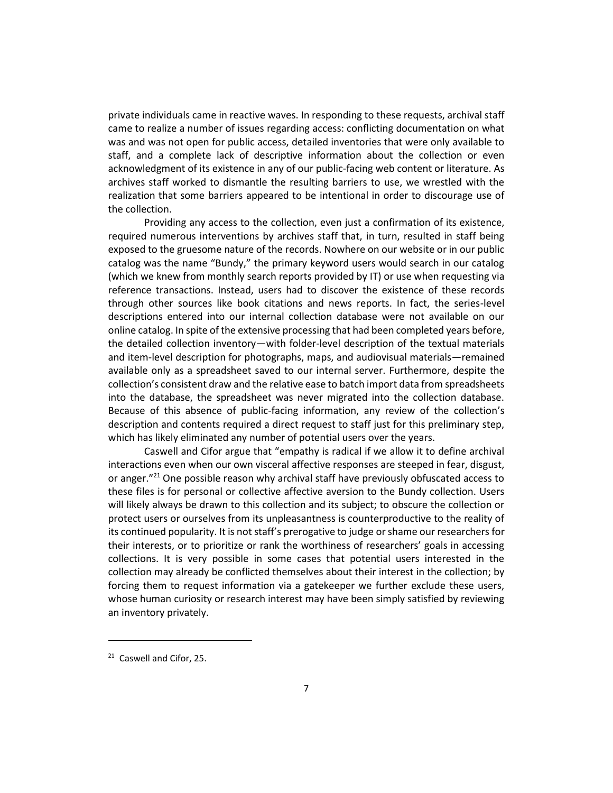private individuals came in reactive waves. In responding to these requests, archival staff came to realize a number of issues regarding access: conflicting documentation on what was and was not open for public access, detailed inventories that were only available to staff, and a complete lack of descriptive information about the collection or even acknowledgment of its existence in any of our public-facing web content or literature. As archives staff worked to dismantle the resulting barriers to use, we wrestled with the realization that some barriers appeared to be intentional in order to discourage use of the collection.

Providing any access to the collection, even just a confirmation of its existence, required numerous interventions by archives staff that, in turn, resulted in staff being exposed to the gruesome nature of the records. Nowhere on our website or in our public catalog was the name "Bundy," the primary keyword users would search in our catalog (which we knew from monthly search reports provided by IT) or use when requesting via reference transactions. Instead, users had to discover the existence of these records through other sources like book citations and news reports. In fact, the series-level descriptions entered into our internal collection database were not available on our online catalog. In spite of the extensive processing that had been completed years before, the detailed collection inventory—with folder-level description of the textual materials and item-level description for photographs, maps, and audiovisual materials—remained available only as a spreadsheet saved to our internal server. Furthermore, despite the collection's consistent draw and the relative ease to batch import data from spreadsheets into the database, the spreadsheet was never migrated into the collection database. Because of this absence of public-facing information, any review of the collection's description and contents required a direct request to staff just for this preliminary step, which has likely eliminated any number of potential users over the years.

Caswell and Cifor argue that "empathy is radical if we allow it to define archival interactions even when our own visceral affective responses are steeped in fear, disgust, or anger."<sup>21</sup> One possible reason why archival staff have previously obfuscated access to these files is for personal or collective affective aversion to the Bundy collection. Users will likely always be drawn to this collection and its subject; to obscure the collection or protect users or ourselves from its unpleasantness is counterproductive to the reality of its continued popularity. It is not staff's prerogative to judge or shame our researchers for their interests, or to prioritize or rank the worthiness of researchers' goals in accessing collections. It is very possible in some cases that potential users interested in the collection may already be conflicted themselves about their interest in the collection; by forcing them to request information via a gatekeeper we further exclude these users, whose human curiosity or research interest may have been simply satisfied by reviewing an inventory privately.

<sup>&</sup>lt;sup>21</sup> Caswell and Cifor, 25.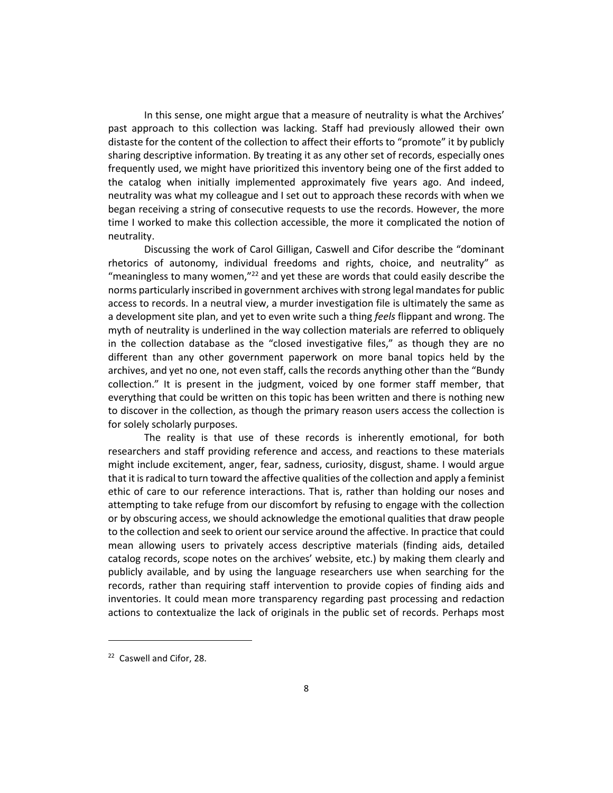In this sense, one might argue that a measure of neutrality is what the Archives' past approach to this collection was lacking. Staff had previously allowed their own distaste for the content of the collection to affect their efforts to "promote" it by publicly sharing descriptive information. By treating it as any other set of records, especially ones frequently used, we might have prioritized this inventory being one of the first added to the catalog when initially implemented approximately five years ago. And indeed, neutrality was what my colleague and I set out to approach these records with when we began receiving a string of consecutive requests to use the records. However, the more time I worked to make this collection accessible, the more it complicated the notion of neutrality.

Discussing the work of Carol Gilligan, Caswell and Cifor describe the "dominant rhetorics of autonomy, individual freedoms and rights, choice, and neutrality" as "meaningless to many women," $^{22}$  and yet these are words that could easily describe the norms particularly inscribed in government archives with strong legal mandates for public access to records. In a neutral view, a murder investigation file is ultimately the same as a development site plan, and yet to even write such a thing *feels* flippant and wrong. The myth of neutrality is underlined in the way collection materials are referred to obliquely in the collection database as the "closed investigative files," as though they are no different than any other government paperwork on more banal topics held by the archives, and yet no one, not even staff, calls the records anything other than the "Bundy collection." It is present in the judgment, voiced by one former staff member, that everything that could be written on this topic has been written and there is nothing new to discover in the collection, as though the primary reason users access the collection is for solely scholarly purposes.

The reality is that use of these records is inherently emotional, for both researchers and staff providing reference and access, and reactions to these materials might include excitement, anger, fear, sadness, curiosity, disgust, shame. I would argue that it is radical to turn toward the affective qualities of the collection and apply a feminist ethic of care to our reference interactions. That is, rather than holding our noses and attempting to take refuge from our discomfort by refusing to engage with the collection or by obscuring access, we should acknowledge the emotional qualities that draw people to the collection and seek to orient our service around the affective. In practice that could mean allowing users to privately access descriptive materials (finding aids, detailed catalog records, scope notes on the archives' website, etc.) by making them clearly and publicly available, and by using the language researchers use when searching for the records, rather than requiring staff intervention to provide copies of finding aids and inventories. It could mean more transparency regarding past processing and redaction actions to contextualize the lack of originals in the public set of records. Perhaps most

<sup>22</sup> Caswell and Cifor, 28.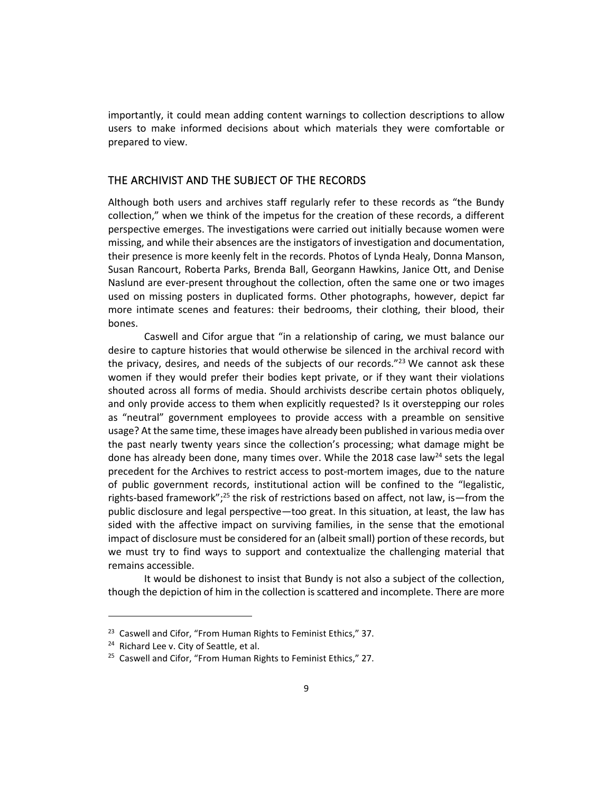importantly, it could mean adding content warnings to collection descriptions to allow users to make informed decisions about which materials they were comfortable or prepared to view.

#### THE ARCHIVIST AND THE SUBJECT OF THE RECORDS

Although both users and archives staff regularly refer to these records as "the Bundy collection," when we think of the impetus for the creation of these records, a different perspective emerges. The investigations were carried out initially because women were missing, and while their absences are the instigators of investigation and documentation, their presence is more keenly felt in the records. Photos of Lynda Healy, Donna Manson, Susan Rancourt, Roberta Parks, Brenda Ball, Georgann Hawkins, Janice Ott, and Denise Naslund are ever-present throughout the collection, often the same one or two images used on missing posters in duplicated forms. Other photographs, however, depict far more intimate scenes and features: their bedrooms, their clothing, their blood, their bones.

Caswell and Cifor argue that "in a relationship of caring, we must balance our desire to capture histories that would otherwise be silenced in the archival record with the privacy, desires, and needs of the subjects of our records." $^{23}$  We cannot ask these women if they would prefer their bodies kept private, or if they want their violations shouted across all forms of media. Should archivists describe certain photos obliquely, and only provide access to them when explicitly requested? Is it overstepping our roles as "neutral" government employees to provide access with a preamble on sensitive usage? At the same time, these images have already been published in various media over the past nearly twenty years since the collection's processing; what damage might be done has already been done, many times over. While the 2018 case law<sup>24</sup> sets the legal precedent for the Archives to restrict access to post-mortem images, due to the nature of public government records, institutional action will be confined to the "legalistic, rights-based framework";<sup>25</sup> the risk of restrictions based on affect, not law, is—from the public disclosure and legal perspective—too great. In this situation, at least, the law has sided with the affective impact on surviving families, in the sense that the emotional impact of disclosure must be considered for an (albeit small) portion of these records, but we must try to find ways to support and contextualize the challenging material that remains accessible.

It would be dishonest to insist that Bundy is not also a subject of the collection, though the depiction of him in the collection is scattered and incomplete. There are more

<sup>&</sup>lt;sup>23</sup> Caswell and Cifor, "From Human Rights to Feminist Ethics," 37.

<sup>&</sup>lt;sup>24</sup> Richard Lee v. City of Seattle, et al.

<sup>&</sup>lt;sup>25</sup> Caswell and Cifor, "From Human Rights to Feminist Ethics," 27.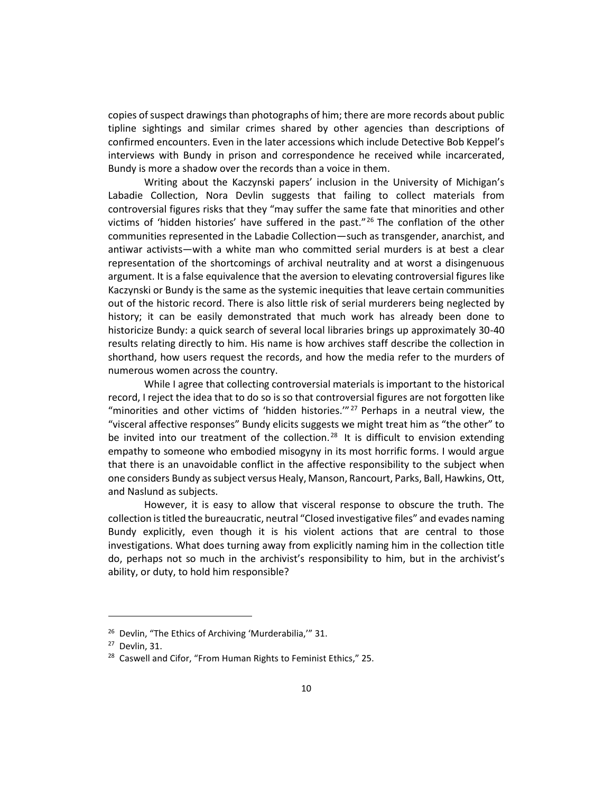copies of suspect drawings than photographs of him; there are more records about public tipline sightings and similar crimes shared by other agencies than descriptions of confirmed encounters. Even in the later accessions which include Detective Bob Keppel's interviews with Bundy in prison and correspondence he received while incarcerated, Bundy is more a shadow over the records than a voice in them.

Writing about the Kaczynski papers' inclusion in the University of Michigan's Labadie Collection, Nora Devlin suggests that failing to collect materials from controversial figures risks that they "may suffer the same fate that minorities and other victims of 'hidden histories' have suffered in the past."<sup>26</sup> The conflation of the other communities represented in the Labadie Collection—such as transgender, anarchist, and antiwar activists—with a white man who committed serial murders is at best a clear representation of the shortcomings of archival neutrality and at worst a disingenuous argument. It is a false equivalence that the aversion to elevating controversial figures like Kaczynski or Bundy is the same as the systemic inequities that leave certain communities out of the historic record. There is also little risk of serial murderers being neglected by history; it can be easily demonstrated that much work has already been done to historicize Bundy: a quick search of several local libraries brings up approximately 30-40 results relating directly to him. His name is how archives staff describe the collection in shorthand, how users request the records, and how the media refer to the murders of numerous women across the country.

While I agree that collecting controversial materials is important to the historical record, I reject the idea that to do so is so that controversial figures are not forgotten like "minorities and other victims of 'hidden histories." $^{27}$  Perhaps in a neutral view, the "visceral affective responses" Bundy elicits suggests we might treat him as "the other" to be invited into our treatment of the collection.<sup>28</sup> It is difficult to envision extending empathy to someone who embodied misogyny in its most horrific forms. I would argue that there is an unavoidable conflict in the affective responsibility to the subject when one considers Bundy as subject versus Healy, Manson, Rancourt, Parks, Ball, Hawkins, Ott, and Naslund as subjects.

However, it is easy to allow that visceral response to obscure the truth. The collection is titled the bureaucratic, neutral "Closed investigative files" and evades naming Bundy explicitly, even though it is his violent actions that are central to those investigations. What does turning away from explicitly naming him in the collection title do, perhaps not so much in the archivist's responsibility to him, but in the archivist's ability, or duty, to hold him responsible?

<sup>&</sup>lt;sup>26</sup> Devlin, "The Ethics of Archiving 'Murderabilia,"" 31.

<sup>27</sup> Devlin, 31.

<sup>&</sup>lt;sup>28</sup> Caswell and Cifor, "From Human Rights to Feminist Ethics," 25.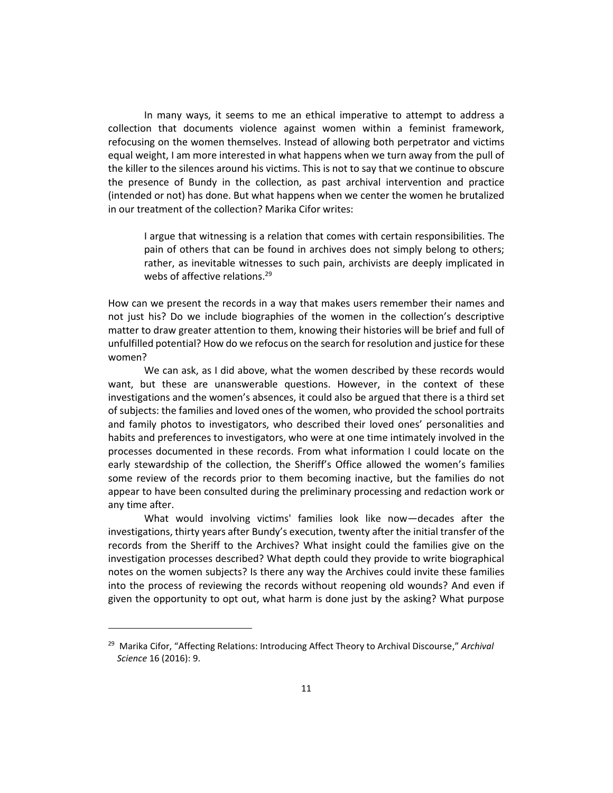In many ways, it seems to me an ethical imperative to attempt to address a collection that documents violence against women within a feminist framework, refocusing on the women themselves. Instead of allowing both perpetrator and victims equal weight, I am more interested in what happens when we turn away from the pull of the killer to the silences around his victims. This is not to say that we continue to obscure the presence of Bundy in the collection, as past archival intervention and practice (intended or not) has done. But what happens when we center the women he brutalized in our treatment of the collection? Marika Cifor writes:

I argue that witnessing is a relation that comes with certain responsibilities. The pain of others that can be found in archives does not simply belong to others; rather, as inevitable witnesses to such pain, archivists are deeply implicated in webs of affective relations.<sup>29</sup>

How can we present the records in a way that makes users remember their names and not just his? Do we include biographies of the women in the collection's descriptive matter to draw greater attention to them, knowing their histories will be brief and full of unfulfilled potential? How do we refocus on the search for resolution and justice for these women?

We can ask, as I did above, what the women described by these records would want, but these are unanswerable questions. However, in the context of these investigations and the women's absences, it could also be argued that there is a third set of subjects: the families and loved ones of the women, who provided the school portraits and family photos to investigators, who described their loved ones' personalities and habits and preferences to investigators, who were at one time intimately involved in the processes documented in these records. From what information I could locate on the early stewardship of the collection, the Sheriff's Office allowed the women's families some review of the records prior to them becoming inactive, but the families do not appear to have been consulted during the preliminary processing and redaction work or any time after.

What would involving victims' families look like now—decades after the investigations, thirty years after Bundy's execution, twenty after the initial transfer of the records from the Sheriff to the Archives? What insight could the families give on the investigation processes described? What depth could they provide to write biographical notes on the women subjects? Is there any way the Archives could invite these families into the process of reviewing the records without reopening old wounds? And even if given the opportunity to opt out, what harm is done just by the asking? What purpose

<sup>29</sup> Marika Cifor, "Affecting Relations: Introducing Affect Theory to Archival Discourse," *Archival Science* 16 (2016): 9.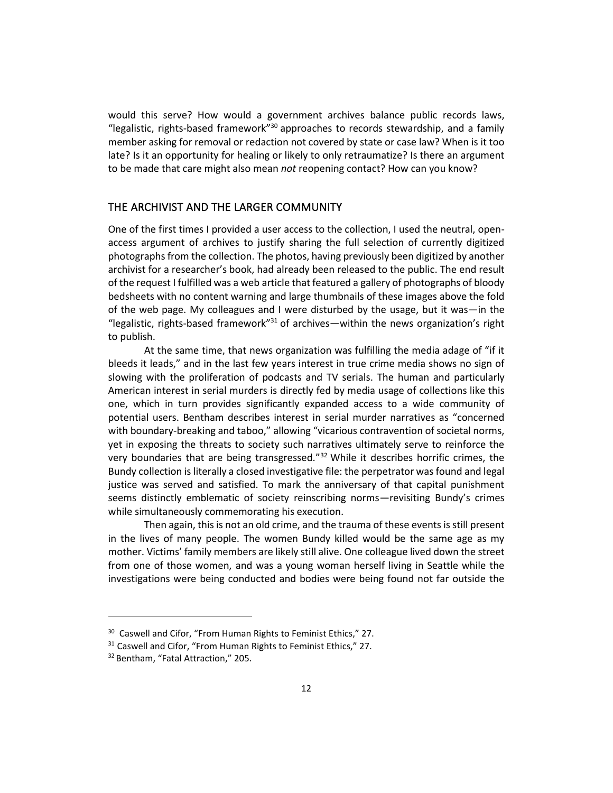would this serve? How would a government archives balance public records laws, "legalistic, rights-based framework" $30$  approaches to records stewardship, and a family member asking for removal or redaction not covered by state or case law? When is it too late? Is it an opportunity for healing or likely to only retraumatize? Is there an argument to be made that care might also mean *not* reopening contact? How can you know?

### THE ARCHIVIST AND THE LARGER COMMUNITY

One of the first times I provided a user access to the collection, I used the neutral, openaccess argument of archives to justify sharing the full selection of currently digitized photographs from the collection. The photos, having previously been digitized by another archivist for a researcher's book, had already been released to the public. The end result of the request I fulfilled was a web article that featured a gallery of photographs of bloody bedsheets with no content warning and large thumbnails of these images above the fold of the web page. My colleagues and I were disturbed by the usage, but it was—in the "legalistic, rights-based framework"<sup>31</sup> of archives—within the news organization's right to publish.

At the same time, that news organization was fulfilling the media adage of "if it bleeds it leads," and in the last few years interest in true crime media shows no sign of slowing with the proliferation of podcasts and TV serials. The human and particularly American interest in serial murders is directly fed by media usage of collections like this one, which in turn provides significantly expanded access to a wide community of potential users. Bentham describes interest in serial murder narratives as "concerned with boundary-breaking and taboo," allowing "vicarious contravention of societal norms, yet in exposing the threats to society such narratives ultimately serve to reinforce the very boundaries that are being transgressed." $32$  While it describes horrific crimes, the Bundy collection is literally a closed investigative file: the perpetrator was found and legal justice was served and satisfied. To mark the anniversary of that capital punishment seems distinctly emblematic of society reinscribing norms—revisiting Bundy's crimes while simultaneously commemorating his execution.

Then again, this is not an old crime, and the trauma of these events is still present in the lives of many people. The women Bundy killed would be the same age as my mother. Victims' family members are likely still alive. One colleague lived down the street from one of those women, and was a young woman herself living in Seattle while the investigations were being conducted and bodies were being found not far outside the

<sup>&</sup>lt;sup>30</sup> Caswell and Cifor, "From Human Rights to Feminist Ethics," 27.

<sup>&</sup>lt;sup>31</sup> Caswell and Cifor, "From Human Rights to Feminist Ethics," 27.

<sup>&</sup>lt;sup>32</sup> Bentham, "Fatal Attraction," 205.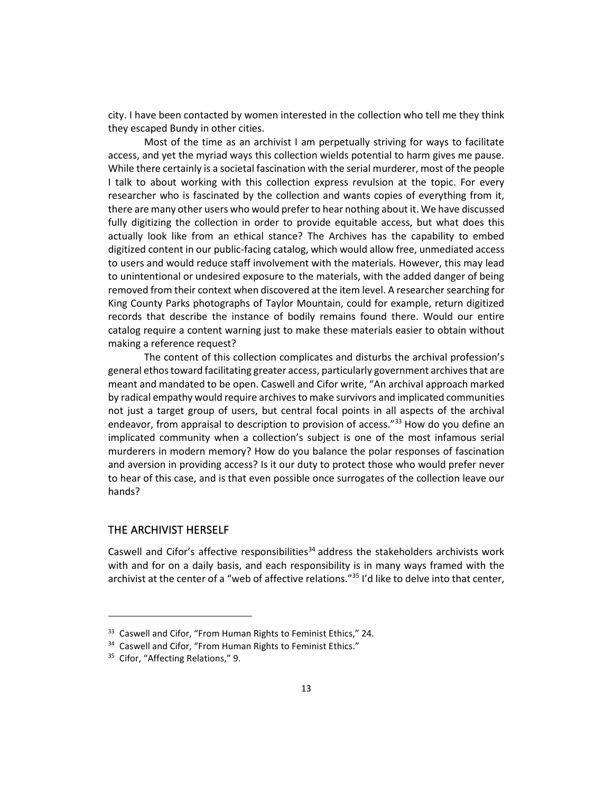city. I have been contacted by women interested in the collection who tell me they think they escaped Bundy in other cities.

Most of the time as an archivist I am perpetually striving for ways to facilitate access, and yet the myriad ways this collection wields potential to harm gives me pause. While there certainly is a societal fascination with the serial murderer, most of the people I talk to about working with this collection express revulsion at the topic. For every researcher who is fascinated by the collection and wants copies of everything from it, there are many other users who would prefer to hear nothing about it. We have discussed fully digitizing the collection in order to provide equitable access, but what does this actually look like from an ethical stance? The Archives has the capability to embed digitized content in our public-facing catalog, which would allow free, unmediated access to users and would reduce staff involvement with the materials. However, this may lead to unintentional or undesired exposure to the materials, with the added danger of being removed from their context when discovered at the item level. A researcher searching for King County Parks photographs of Taylor Mountain, could for example, return digitized records that describe the instance of bodily remains found there. Would our entire catalog require a content warning just to make these materials easier to obtain without making a reference request?

The content of this collection complicates and disturbs the archival profession's general ethos toward facilitating greater access, particularly government archives that are meant and mandated to be open. Caswell and Cifor write, "An archival approach marked by radical empathy would require archives to make survivors and implicated communities not just a target group of users, but central focal points in all aspects of the archival endeavor, from appraisal to description to provision of access."<sup>33</sup> How do you define an implicated community when a collection's subject is one of the most infamous serial murderers in modern memory? How do you balance the polar responses of fascination and aversion in providing access? Is it our duty to protect those who would prefer never to hear of this case, and is that even possible once surrogates of the collection leave our hands?

#### THE ARCHIVIST HERSELF

Caswell and Cifor's affective responsibilities<sup>34</sup> address the stakeholders archivists work with and for on a daily basis, and each responsibility is in many ways framed with the archivist at the center of a "web of affective relations."<sup>35</sup> I'd like to delve into that center,

<sup>&</sup>lt;sup>33</sup> Caswell and Cifor, "From Human Rights to Feminist Ethics," 24.

<sup>&</sup>lt;sup>34</sup> Caswell and Cifor, "From Human Rights to Feminist Ethics."

<sup>&</sup>lt;sup>35</sup> Cifor, "Affecting Relations," 9.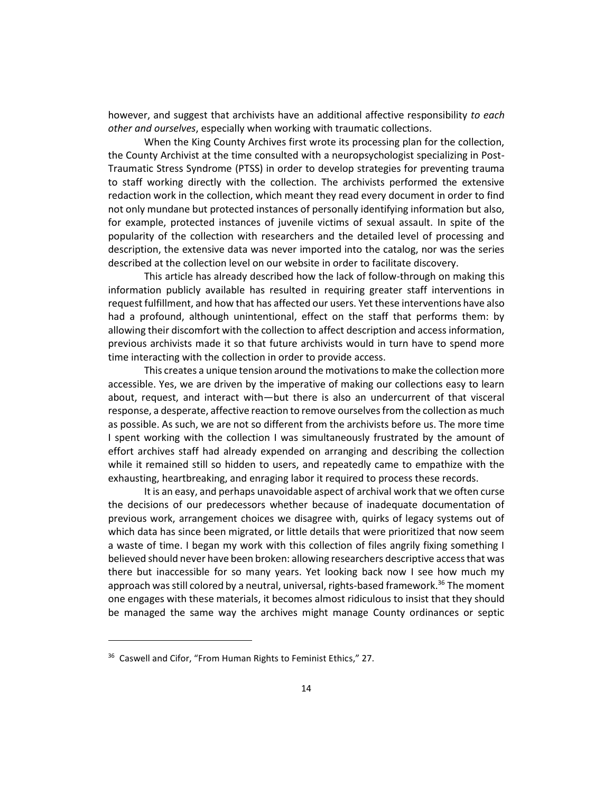however, and suggest that archivists have an additional affective responsibility *to each other and ourselves*, especially when working with traumatic collections.

When the King County Archives first wrote its processing plan for the collection, the County Archivist at the time consulted with a neuropsychologist specializing in Post-Traumatic Stress Syndrome (PTSS) in order to develop strategies for preventing trauma to staff working directly with the collection. The archivists performed the extensive redaction work in the collection, which meant they read every document in order to find not only mundane but protected instances of personally identifying information but also, for example, protected instances of juvenile victims of sexual assault. In spite of the popularity of the collection with researchers and the detailed level of processing and description, the extensive data was never imported into the catalog, nor was the series described at the collection level on our website in order to facilitate discovery.

This article has already described how the lack of follow-through on making this information publicly available has resulted in requiring greater staff interventions in request fulfillment, and how that has affected our users. Yet these interventions have also had a profound, although unintentional, effect on the staff that performs them: by allowing their discomfort with the collection to affect description and access information, previous archivists made it so that future archivists would in turn have to spend more time interacting with the collection in order to provide access.

This creates a unique tension around the motivations to make the collection more accessible. Yes, we are driven by the imperative of making our collections easy to learn about, request, and interact with—but there is also an undercurrent of that visceral response, a desperate, affective reaction to remove ourselves from the collection as much as possible. As such, we are not so different from the archivists before us. The more time I spent working with the collection I was simultaneously frustrated by the amount of effort archives staff had already expended on arranging and describing the collection while it remained still so hidden to users, and repeatedly came to empathize with the exhausting, heartbreaking, and enraging labor it required to process these records.

It is an easy, and perhaps unavoidable aspect of archival work that we often curse the decisions of our predecessors whether because of inadequate documentation of previous work, arrangement choices we disagree with, quirks of legacy systems out of which data has since been migrated, or little details that were prioritized that now seem a waste of time. I began my work with this collection of files angrily fixing something I believed should never have been broken: allowing researchers descriptive access that was there but inaccessible for so many years. Yet looking back now I see how much my approach was still colored by a neutral, universal, rights-based framework.<sup>36</sup> The moment one engages with these materials, it becomes almost ridiculous to insist that they should be managed the same way the archives might manage County ordinances or septic

<sup>&</sup>lt;sup>36</sup> Caswell and Cifor, "From Human Rights to Feminist Ethics," 27.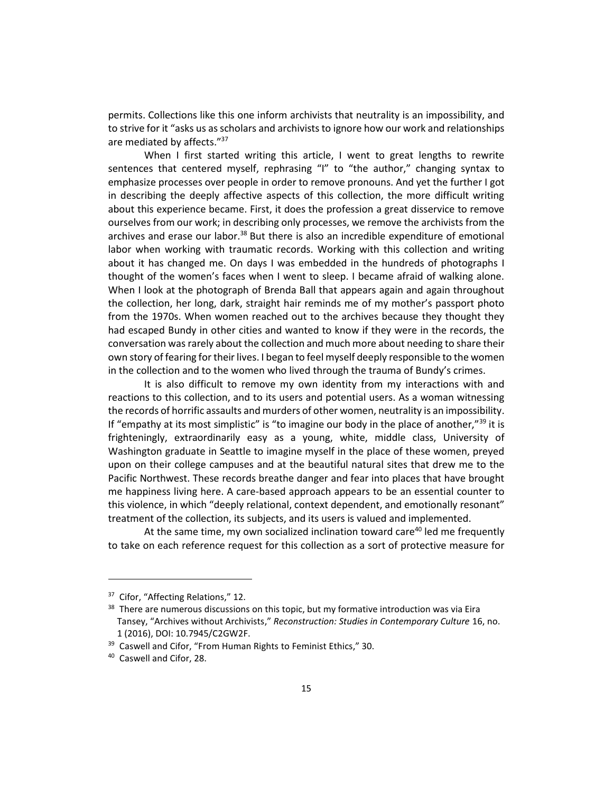permits. Collections like this one inform archivists that neutrality is an impossibility, and to strive for it "asks us as scholars and archivists to ignore how our work and relationships are mediated by affects."<sup>37</sup>

When I first started writing this article, I went to great lengths to rewrite sentences that centered myself, rephrasing "I" to "the author," changing syntax to emphasize processes over people in order to remove pronouns. And yet the further I got in describing the deeply affective aspects of this collection, the more difficult writing about this experience became. First, it does the profession a great disservice to remove ourselves from our work; in describing only processes, we remove the archivists from the archives and erase our labor.<sup>38</sup> But there is also an incredible expenditure of emotional labor when working with traumatic records. Working with this collection and writing about it has changed me. On days I was embedded in the hundreds of photographs I thought of the women's faces when I went to sleep. I became afraid of walking alone. When I look at the photograph of Brenda Ball that appears again and again throughout the collection, her long, dark, straight hair reminds me of my mother's passport photo from the 1970s. When women reached out to the archives because they thought they had escaped Bundy in other cities and wanted to know if they were in the records, the conversation was rarely about the collection and much more about needing to share their own story of fearing for their lives. I began to feel myself deeply responsible to the women in the collection and to the women who lived through the trauma of Bundy's crimes.

It is also difficult to remove my own identity from my interactions with and reactions to this collection, and to its users and potential users. As a woman witnessing the records of horrific assaults and murders of other women, neutrality is an impossibility. If "empathy at its most simplistic" is "to imagine our body in the place of another," $^{39}$  it is frighteningly, extraordinarily easy as a young, white, middle class, University of Washington graduate in Seattle to imagine myself in the place of these women, preyed upon on their college campuses and at the beautiful natural sites that drew me to the Pacific Northwest. These records breathe danger and fear into places that have brought me happiness living here. A care-based approach appears to be an essential counter to this violence, in which "deeply relational, context dependent, and emotionally resonant" treatment of the collection, its subjects, and its users is valued and implemented.

At the same time, my own socialized inclination toward care<sup>40</sup> led me frequently to take on each reference request for this collection as a sort of protective measure for

<sup>&</sup>lt;sup>37</sup> Cifor, "Affecting Relations," 12.

<sup>&</sup>lt;sup>38</sup> There are numerous discussions on this topic, but my formative introduction was via Eira Tansey, "Archives without Archivists," *Reconstruction: Studies in Contemporary Culture* 16, no. 1 (2016), DOI: 10.7945/C2GW2F.

<sup>&</sup>lt;sup>39</sup> Caswell and Cifor, "From Human Rights to Feminist Ethics," 30.

<sup>40</sup> Caswell and Cifor, 28.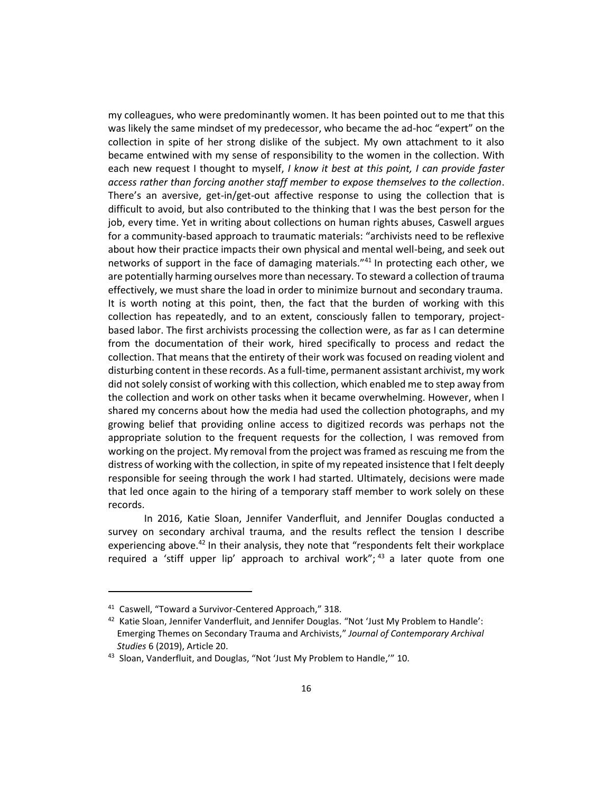my colleagues, who were predominantly women. It has been pointed out to me that this was likely the same mindset of my predecessor, who became the ad-hoc "expert" on the collection in spite of her strong dislike of the subject. My own attachment to it also became entwined with my sense of responsibility to the women in the collection. With each new request I thought to myself, *I know it best at this point, I can provide faster access rather than forcing another staff member to expose themselves to the collection*. There's an aversive, get-in/get-out affective response to using the collection that is difficult to avoid, but also contributed to the thinking that I was the best person for the job, every time. Yet in writing about collections on human rights abuses, Caswell argues for a community-based approach to traumatic materials: "archivists need to be reflexive about how their practice impacts their own physical and mental well-being, and seek out networks of support in the face of damaging materials."<sup>41</sup> In protecting each other, we are potentially harming ourselves more than necessary. To steward a collection of trauma effectively, we must share the load in order to minimize burnout and secondary trauma. It is worth noting at this point, then, the fact that the burden of working with this collection has repeatedly, and to an extent, consciously fallen to temporary, projectbased labor. The first archivists processing the collection were, as far as I can determine from the documentation of their work, hired specifically to process and redact the collection. That means that the entirety of their work was focused on reading violent and disturbing content in these records. As a full-time, permanent assistant archivist, my work did not solely consist of working with this collection, which enabled me to step away from the collection and work on other tasks when it became overwhelming. However, when I shared my concerns about how the media had used the collection photographs, and my growing belief that providing online access to digitized records was perhaps not the appropriate solution to the frequent requests for the collection, I was removed from working on the project. My removal from the project was framed as rescuing me from the distress of working with the collection, in spite of my repeated insistence that I felt deeply responsible for seeing through the work I had started. Ultimately, decisions were made that led once again to the hiring of a temporary staff member to work solely on these records.

In 2016, Katie Sloan, Jennifer Vanderfluit, and Jennifer Douglas conducted a survey on secondary archival trauma, and the results reflect the tension I describe experiencing above.<sup>42</sup> In their analysis, they note that "respondents felt their workplace required a 'stiff upper lip' approach to archival work";  $43$  a later quote from one

<sup>41</sup> Caswell, "Toward a Survivor-Centered Approach," 318.

<sup>42</sup> Katie Sloan, Jennifer Vanderfluit, and Jennifer Douglas. "Not 'Just My Problem to Handle': Emerging Themes on Secondary Trauma and Archivists," *Journal of Contemporary Archival Studies* 6 (2019), Article 20.

<sup>43</sup> Sloan, Vanderfluit, and Douglas, "Not 'Just My Problem to Handle," 10.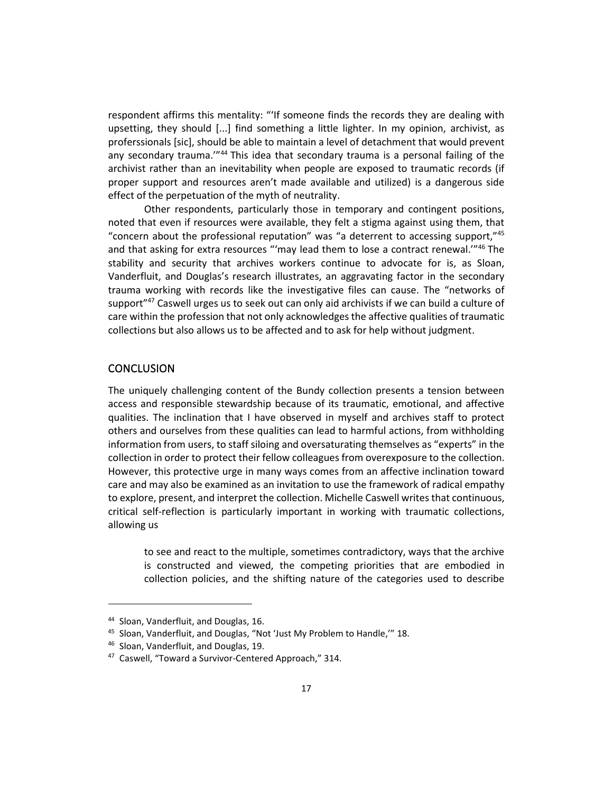respondent affirms this mentality: "'If someone finds the records they are dealing with upsetting, they should [...] find something a little lighter. In my opinion, archivist, as proferssionals [sic], should be able to maintain a level of detachment that would prevent any secondary trauma.'"<sup>44</sup> This idea that secondary trauma is a personal failing of the archivist rather than an inevitability when people are exposed to traumatic records (if proper support and resources aren't made available and utilized) is a dangerous side effect of the perpetuation of the myth of neutrality.

Other respondents, particularly those in temporary and contingent positions, noted that even if resources were available, they felt a stigma against using them, that "concern about the professional reputation" was "a deterrent to accessing support, $145$ and that asking for extra resources "'may lead them to lose a contract renewal.'"<sup>46</sup> The stability and security that archives workers continue to advocate for is, as Sloan, Vanderfluit, and Douglas's research illustrates, an aggravating factor in the secondary trauma working with records like the investigative files can cause. The "networks of support<sup>"47</sup> Caswell urges us to seek out can only aid archivists if we can build a culture of care within the profession that not only acknowledges the affective qualities of traumatic collections but also allows us to be affected and to ask for help without judgment.

### **CONCLUSION**

The uniquely challenging content of the Bundy collection presents a tension between access and responsible stewardship because of its traumatic, emotional, and affective qualities. The inclination that I have observed in myself and archives staff to protect others and ourselves from these qualities can lead to harmful actions, from withholding information from users, to staff siloing and oversaturating themselves as "experts" in the collection in order to protect their fellow colleagues from overexposure to the collection. However, this protective urge in many ways comes from an affective inclination toward care and may also be examined as an invitation to use the framework of radical empathy to explore, present, and interpret the collection. Michelle Caswell writes that continuous, critical self-reflection is particularly important in working with traumatic collections, allowing us

to see and react to the multiple, sometimes contradictory, ways that the archive is constructed and viewed, the competing priorities that are embodied in collection policies, and the shifting nature of the categories used to describe

<sup>44</sup> Sloan, Vanderfluit, and Douglas, 16.

<sup>45</sup> Sloan, Vanderfluit, and Douglas, "Not 'Just My Problem to Handle,'" 18.

<sup>46</sup> Sloan, Vanderfluit, and Douglas, 19.

<sup>47</sup> Caswell, "Toward a Survivor-Centered Approach," 314.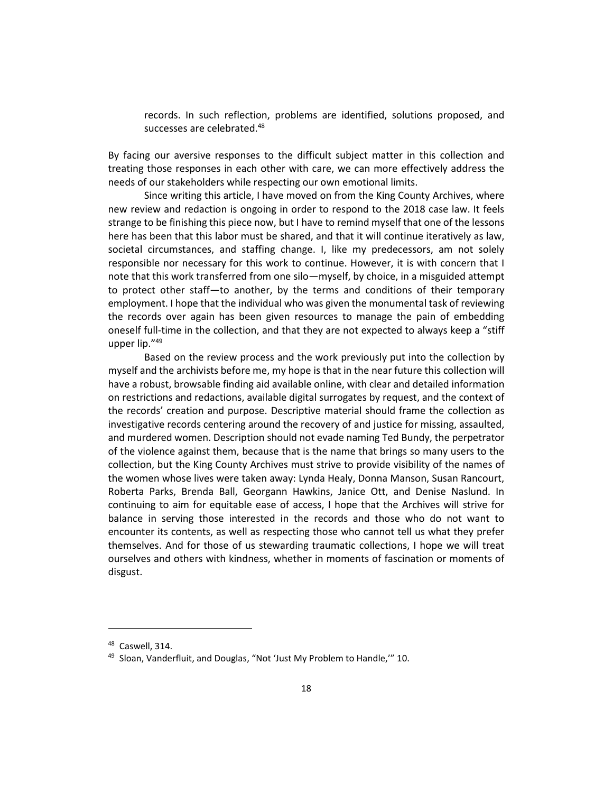records. In such reflection, problems are identified, solutions proposed, and successes are celebrated.<sup>48</sup>

By facing our aversive responses to the difficult subject matter in this collection and treating those responses in each other with care, we can more effectively address the needs of our stakeholders while respecting our own emotional limits.

Since writing this article, I have moved on from the King County Archives, where new review and redaction is ongoing in order to respond to the 2018 case law. It feels strange to be finishing this piece now, but I have to remind myself that one of the lessons here has been that this labor must be shared, and that it will continue iteratively as law, societal circumstances, and staffing change. I, like my predecessors, am not solely responsible nor necessary for this work to continue. However, it is with concern that I note that this work transferred from one silo—myself, by choice, in a misguided attempt to protect other staff—to another, by the terms and conditions of their temporary employment. I hope that the individual who was given the monumental task of reviewing the records over again has been given resources to manage the pain of embedding oneself full-time in the collection, and that they are not expected to always keep a "stiff upper lip."<sup>49</sup>

Based on the review process and the work previously put into the collection by myself and the archivists before me, my hope is that in the near future this collection will have a robust, browsable finding aid available online, with clear and detailed information on restrictions and redactions, available digital surrogates by request, and the context of the records' creation and purpose. Descriptive material should frame the collection as investigative records centering around the recovery of and justice for missing, assaulted, and murdered women. Description should not evade naming Ted Bundy, the perpetrator of the violence against them, because that is the name that brings so many users to the collection, but the King County Archives must strive to provide visibility of the names of the women whose lives were taken away: Lynda Healy, Donna Manson, Susan Rancourt, Roberta Parks, Brenda Ball, Georgann Hawkins, Janice Ott, and Denise Naslund. In continuing to aim for equitable ease of access, I hope that the Archives will strive for balance in serving those interested in the records and those who do not want to encounter its contents, as well as respecting those who cannot tell us what they prefer themselves. And for those of us stewarding traumatic collections, I hope we will treat ourselves and others with kindness, whether in moments of fascination or moments of disgust.

<sup>&</sup>lt;sup>48</sup> Caswell, 314.

<sup>49</sup> Sloan, Vanderfluit, and Douglas, "Not 'Just My Problem to Handle," 10.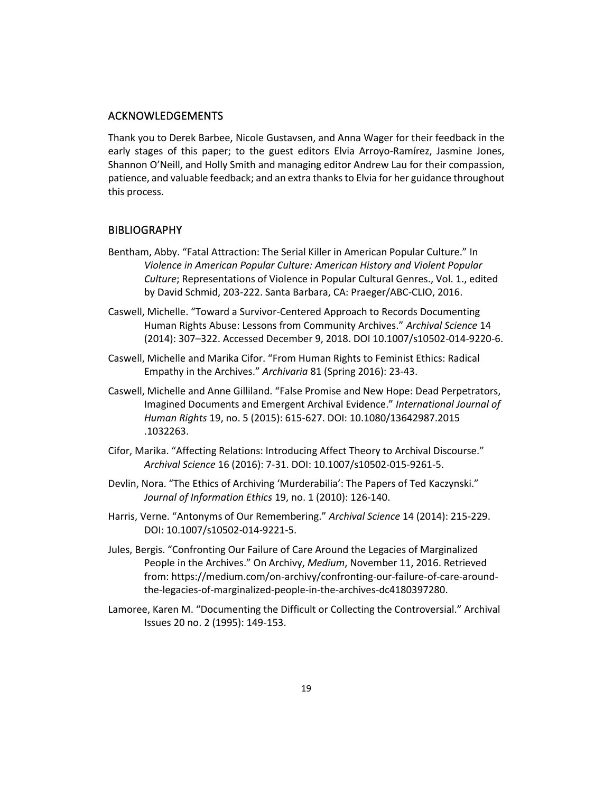#### ACKNOWLEDGEMENTS

Thank you to Derek Barbee, Nicole Gustavsen, and Anna Wager for their feedback in the early stages of this paper; to the guest editors Elvia Arroyo-Ramírez, Jasmine Jones, Shannon O'Neill, and Holly Smith and managing editor Andrew Lau for their compassion, patience, and valuable feedback; and an extra thanks to Elvia for her guidance throughout this process.

#### **BIBLIOGRAPHY**

- Bentham, Abby. "Fatal Attraction: The Serial Killer in American Popular Culture." In *Violence in American Popular Culture: American History and Violent Popular Culture*; Representations of Violence in Popular Cultural Genres., Vol. 1., edited by David Schmid, 203-222. Santa Barbara, CA: Praeger/ABC-CLIO, 2016.
- Caswell, Michelle. "Toward a Survivor-Centered Approach to Records Documenting Human Rights Abuse: Lessons from Community Archives." *Archival Science* 14 (2014): 307–322. Accessed December 9, 2018. DOI 10.1007/s10502-014-9220-6.
- Caswell, Michelle and Marika Cifor. "From Human Rights to Feminist Ethics: Radical Empathy in the Archives." *Archivaria* 81 (Spring 2016): 23-43.
- Caswell, Michelle and Anne Gilliland. "False Promise and New Hope: Dead Perpetrators, Imagined Documents and Emergent Archival Evidence." *International Journal of Human Rights* 19, no. 5 (2015): 615-627. DOI: 10.1080/13642987.2015 .1032263.
- Cifor, Marika. "Affecting Relations: Introducing Affect Theory to Archival Discourse." *Archival Science* 16 (2016): 7-31. DOI: 10.1007/s10502-015-9261-5.
- Devlin, Nora. "The Ethics of Archiving 'Murderabilia': The Papers of Ted Kaczynski." *Journal of Information Ethics* 19, no. 1 (2010): 126-140.
- Harris, Verne. "Antonyms of Our Remembering." *Archival Science* 14 (2014): 215-229. DOI: 10.1007/s10502-014-9221-5.
- Jules, Bergis. "Confronting Our Failure of Care Around the Legacies of Marginalized People in the Archives." On Archivy, *Medium*, November 11, 2016. Retrieved from: https://medium.com/on-archivy/confronting-our-failure-of-care-aroundthe-legacies-of-marginalized-people-in-the-archives-dc4180397280.
- Lamoree, Karen M. "Documenting the Difficult or Collecting the Controversial." Archival Issues 20 no. 2 (1995): 149-153.